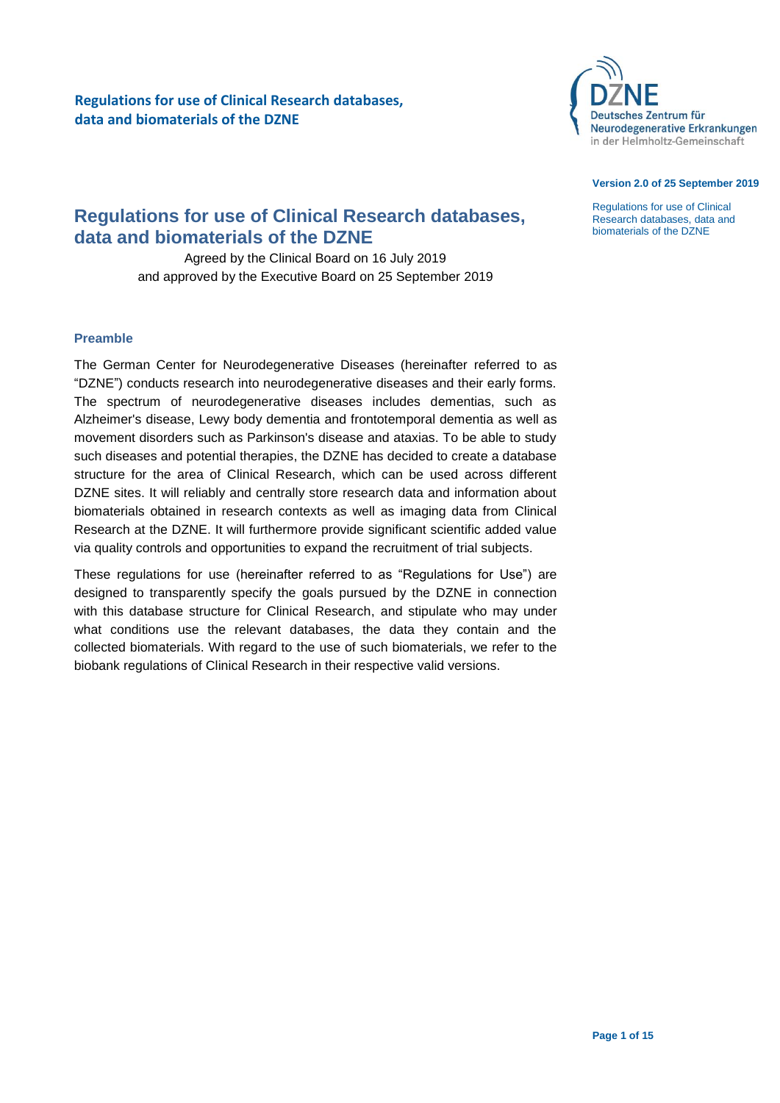

#### **Version 2.0 of 25 September 2019**

Regulations for use of Clinical Research databases, data and biomaterials of the DZNE

# **Regulations for use of Clinical Research databases, data and biomaterials of the DZNE**

Agreed by the Clinical Board on 16 July 2019 and approved by the Executive Board on 25 September 2019

## <span id="page-0-0"></span>**Preamble**

The German Center for Neurodegenerative Diseases (hereinafter referred to as "DZNE") conducts research into neurodegenerative diseases and their early forms. The spectrum of neurodegenerative diseases includes dementias, such as Alzheimer's disease, Lewy body dementia and frontotemporal dementia as well as movement disorders such as Parkinson's disease and ataxias. To be able to study such diseases and potential therapies, the DZNE has decided to create a database structure for the area of Clinical Research, which can be used across different DZNE sites. It will reliably and centrally store research data and information about biomaterials obtained in research contexts as well as imaging data from Clinical Research at the DZNE. It will furthermore provide significant scientific added value via quality controls and opportunities to expand the recruitment of trial subjects.

These regulations for use (hereinafter referred to as "Regulations for Use") are designed to transparently specify the goals pursued by the DZNE in connection with this database structure for Clinical Research, and stipulate who may under what conditions use the relevant databases, the data they contain and the collected biomaterials. With regard to the use of such biomaterials, we refer to the biobank regulations of Clinical Research in their respective valid versions.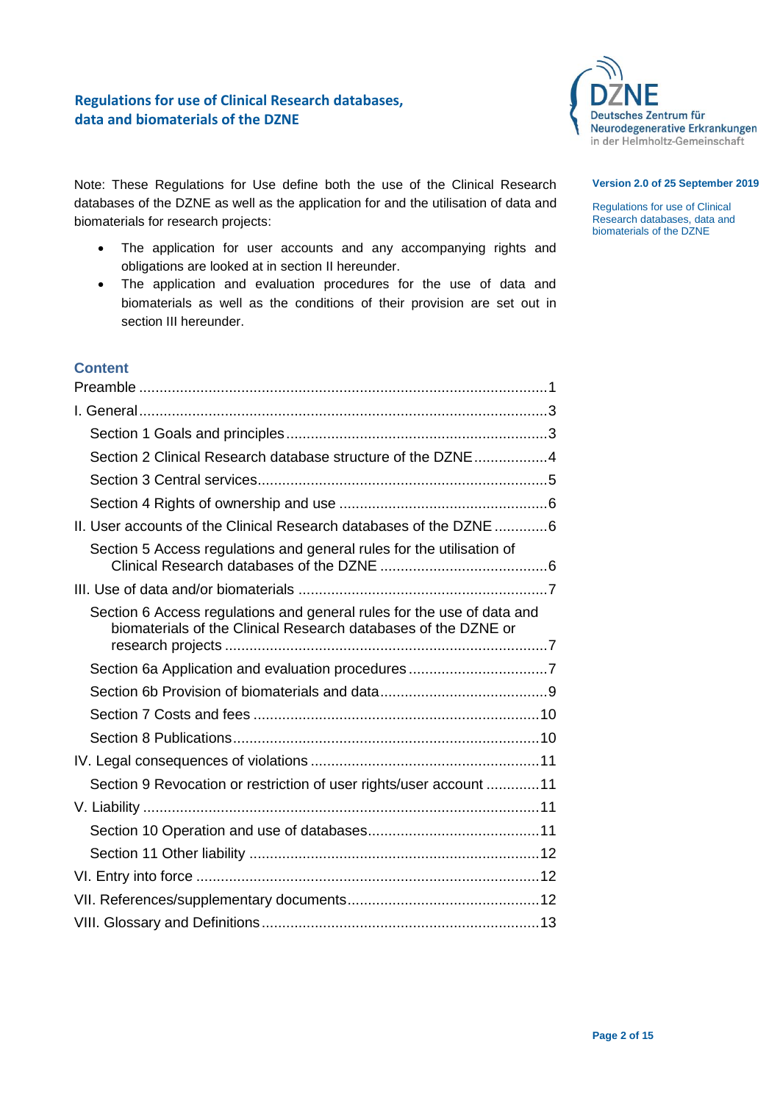

### **Version 2.0 of 25 September 2019**

Regulations for use of Clinical Research databases, data and biomaterials of the DZNE

Note: These Regulations for Use define both the use of the Clinical Research databases of the DZNE as well as the application for and the utilisation of data and biomaterials for research projects:

- The application for user accounts and any accompanying rights and obligations are looked at in section II hereunder.
- The application and evaluation procedures for the use of data and biomaterials as well as the conditions of their provision are set out in section III hereunder.

# **Content**

| Section 2 Clinical Research database structure of the DZNE4                                                                              |
|------------------------------------------------------------------------------------------------------------------------------------------|
|                                                                                                                                          |
|                                                                                                                                          |
| II. User accounts of the Clinical Research databases of the DZNE  6                                                                      |
| Section 5 Access regulations and general rules for the utilisation of                                                                    |
|                                                                                                                                          |
| Section 6 Access regulations and general rules for the use of data and<br>biomaterials of the Clinical Research databases of the DZNE or |
|                                                                                                                                          |
|                                                                                                                                          |
|                                                                                                                                          |
|                                                                                                                                          |
|                                                                                                                                          |
| Section 9 Revocation or restriction of user rights/user account 11                                                                       |
|                                                                                                                                          |
|                                                                                                                                          |
|                                                                                                                                          |
|                                                                                                                                          |
|                                                                                                                                          |
|                                                                                                                                          |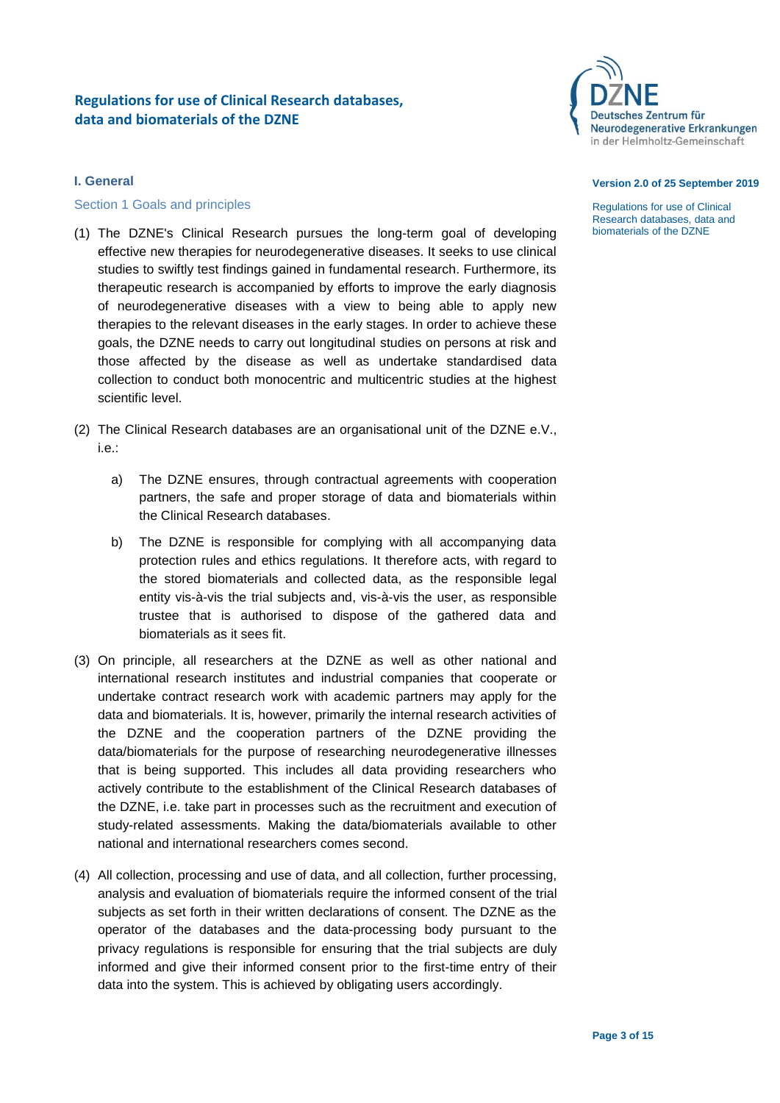

# <span id="page-2-0"></span>**I. General**

## <span id="page-2-1"></span>Section 1 Goals and principles

- (1) The DZNE's Clinical Research pursues the long-term goal of developing effective new therapies for neurodegenerative diseases. It seeks to use clinical studies to swiftly test findings gained in fundamental research. Furthermore, its therapeutic research is accompanied by efforts to improve the early diagnosis of neurodegenerative diseases with a view to being able to apply new therapies to the relevant diseases in the early stages. In order to achieve these goals, the DZNE needs to carry out longitudinal studies on persons at risk and those affected by the disease as well as undertake standardised data collection to conduct both monocentric and multicentric studies at the highest scientific level.
- (2) The Clinical Research databases are an organisational unit of the DZNE e.V., i.e.:
	- a) The DZNE ensures, through contractual agreements with cooperation partners, the safe and proper storage of data and biomaterials within the Clinical Research databases.
	- b) The DZNE is responsible for complying with all accompanying data protection rules and ethics regulations. It therefore acts, with regard to the stored biomaterials and collected data, as the responsible legal entity vis-à-vis the trial subjects and, vis-à-vis the user, as responsible trustee that is authorised to dispose of the gathered data and biomaterials as it sees fit.
- (3) On principle, all researchers at the DZNE as well as other national and international research institutes and industrial companies that cooperate or undertake contract research work with academic partners may apply for the data and biomaterials. It is, however, primarily the internal research activities of the DZNE and the cooperation partners of the DZNE providing the data/biomaterials for the purpose of researching neurodegenerative illnesses that is being supported. This includes all data providing researchers who actively contribute to the establishment of the Clinical Research databases of the DZNE, i.e. take part in processes such as the recruitment and execution of study-related assessments. Making the data/biomaterials available to other national and international researchers comes second.
- (4) All collection, processing and use of data, and all collection, further processing, analysis and evaluation of biomaterials require the informed consent of the trial subjects as set forth in their written declarations of consent. The DZNE as the operator of the databases and the data-processing body pursuant to the privacy regulations is responsible for ensuring that the trial subjects are duly informed and give their informed consent prior to the first-time entry of their data into the system. This is achieved by obligating users accordingly.

#### **Version 2.0 of 25 September 2019**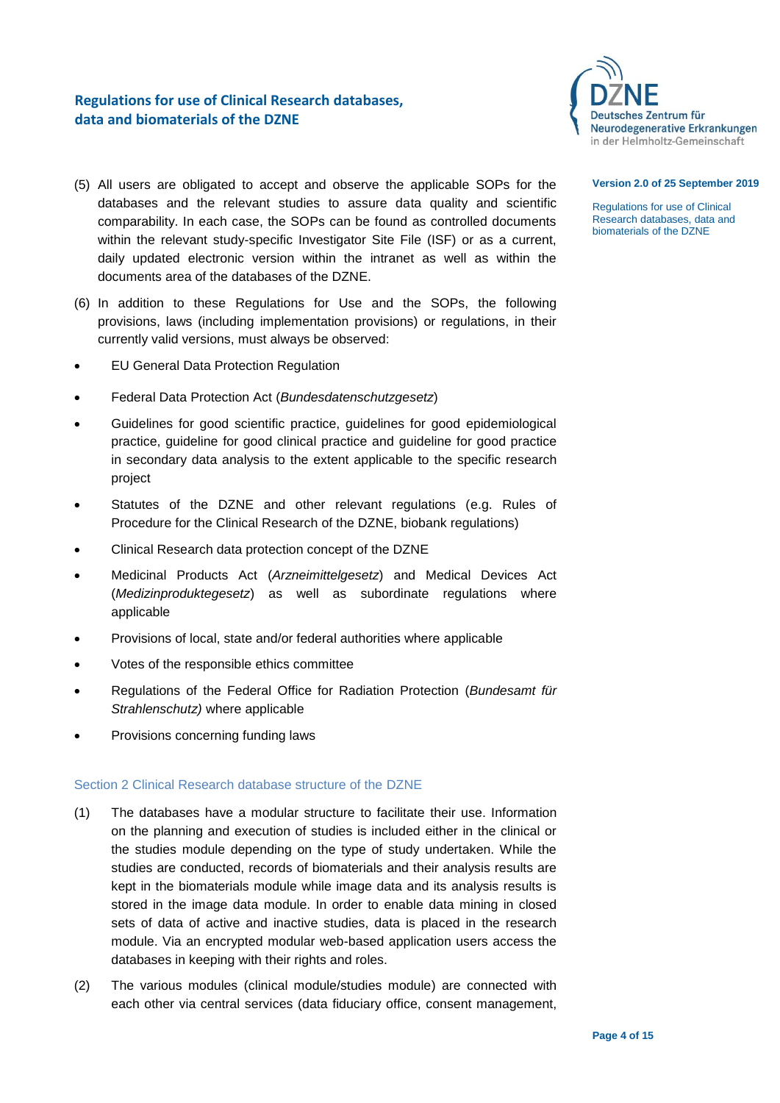

- (5) All users are obligated to accept and observe the applicable SOPs for the databases and the relevant studies to assure data quality and scientific comparability. In each case, the SOPs can be found as controlled documents within the relevant study-specific Investigator Site File (ISF) or as a current, daily updated electronic version within the intranet as well as within the documents area of the databases of the DZNE.
- (6) In addition to these Regulations for Use and the SOPs, the following provisions, laws (including implementation provisions) or regulations, in their currently valid versions, must always be observed:
- EU General Data Protection Regulation
- Federal Data Protection Act (*Bundesdatenschutzgesetz*)
- Guidelines for good scientific practice, guidelines for good epidemiological practice, guideline for good clinical practice and guideline for good practice in secondary data analysis to the extent applicable to the specific research project
- Statutes of the DZNE and other relevant regulations (e.g. Rules of Procedure for the Clinical Research of the DZNE, biobank regulations)
- Clinical Research data protection concept of the DZNE
- Medicinal Products Act (*Arzneimittelgesetz*) and Medical Devices Act (*Medizinproduktegesetz*) as well as subordinate regulations where applicable
- Provisions of local, state and/or federal authorities where applicable
- Votes of the responsible ethics committee
- Regulations of the Federal Office for Radiation Protection (*Bundesamt für Strahlenschutz)* where applicable
- Provisions concerning funding laws

## <span id="page-3-0"></span>Section 2 Clinical Research database structure of the DZNE

- (1) The databases have a modular structure to facilitate their use. Information on the planning and execution of studies is included either in the clinical or the studies module depending on the type of study undertaken. While the studies are conducted, records of biomaterials and their analysis results are kept in the biomaterials module while image data and its analysis results is stored in the image data module. In order to enable data mining in closed sets of data of active and inactive studies, data is placed in the research module. Via an encrypted modular web-based application users access the databases in keeping with their rights and roles.
- (2) The various modules (clinical module/studies module) are connected with each other via central services (data fiduciary office, consent management,

#### **Version 2.0 of 25 September 2019**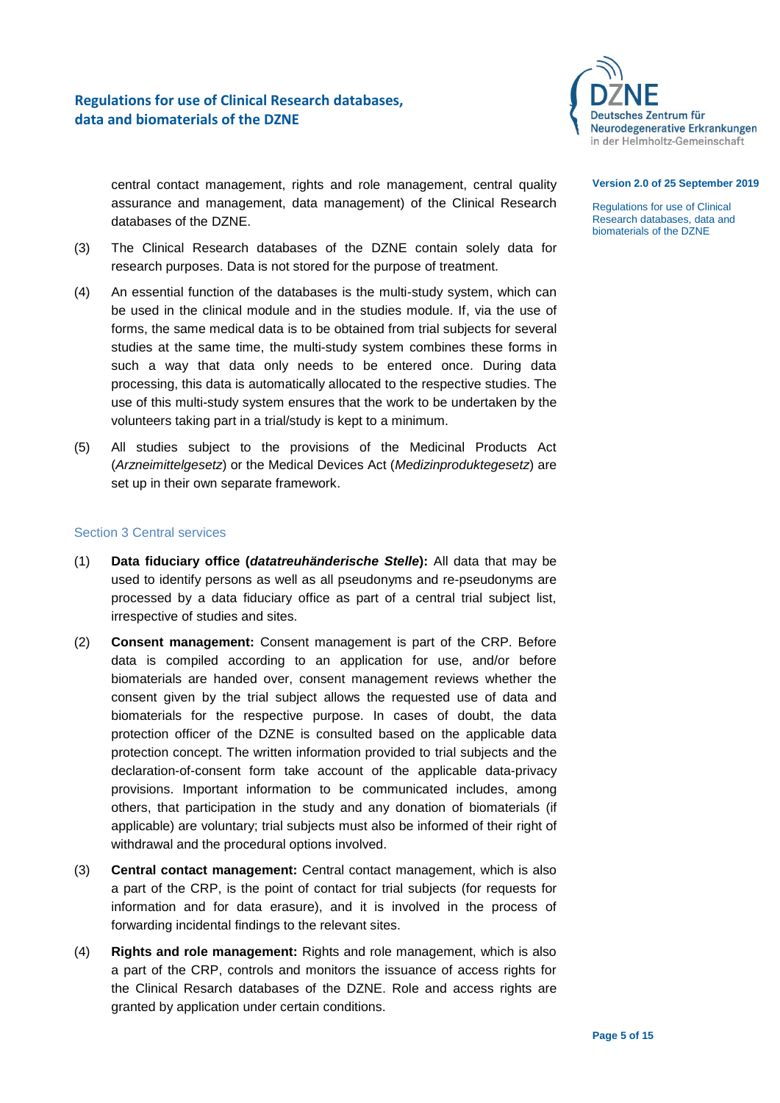

central contact management, rights and role management, central quality assurance and management, data management) of the Clinical Research databases of the DZNE.

- (3) The Clinical Research databases of the DZNE contain solely data for research purposes. Data is not stored for the purpose of treatment.
- (4) An essential function of the databases is the multi-study system, which can be used in the clinical module and in the studies module. If, via the use of forms, the same medical data is to be obtained from trial subjects for several studies at the same time, the multi-study system combines these forms in such a way that data only needs to be entered once. During data processing, this data is automatically allocated to the respective studies. The use of this multi-study system ensures that the work to be undertaken by the volunteers taking part in a trial/study is kept to a minimum.
- (5) All studies subject to the provisions of the Medicinal Products Act (*Arzneimittelgesetz*) or the Medical Devices Act (*Medizinproduktegesetz*) are set up in their own separate framework.

## <span id="page-4-0"></span>Section 3 Central services

- (1) **Data fiduciary office (***datatreuhänderische Stelle***):** All data that may be used to identify persons as well as all pseudonyms and re-pseudonyms are processed by a data fiduciary office as part of a central trial subject list, irrespective of studies and sites.
- (2) **Consent management:** Consent management is part of the CRP. Before data is compiled according to an application for use, and/or before biomaterials are handed over, consent management reviews whether the consent given by the trial subject allows the requested use of data and biomaterials for the respective purpose. In cases of doubt, the data protection officer of the DZNE is consulted based on the applicable data protection concept. The written information provided to trial subjects and the declaration-of-consent form take account of the applicable data-privacy provisions. Important information to be communicated includes, among others, that participation in the study and any donation of biomaterials (if applicable) are voluntary; trial subjects must also be informed of their right of withdrawal and the procedural options involved.
- (3) **Central contact management:** Central contact management, which is also a part of the CRP, is the point of contact for trial subjects (for requests for information and for data erasure), and it is involved in the process of forwarding incidental findings to the relevant sites.
- (4) **Rights and role management:** Rights and role management, which is also a part of the CRP, controls and monitors the issuance of access rights for the Clinical Resarch databases of the DZNE. Role and access rights are granted by application under certain conditions.

#### **Version 2.0 of 25 September 2019**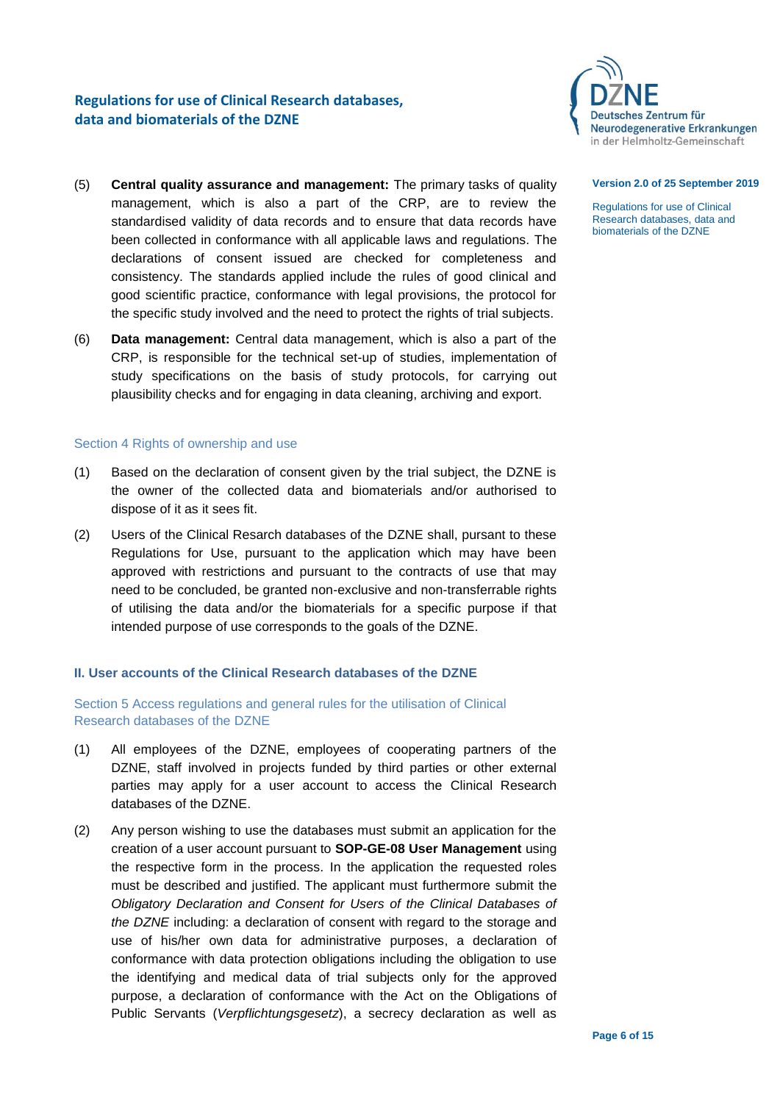

- (5) **Central quality assurance and management:** The primary tasks of quality management, which is also a part of the CRP, are to review the standardised validity of data records and to ensure that data records have been collected in conformance with all applicable laws and regulations. The declarations of consent issued are checked for completeness and consistency. The standards applied include the rules of good clinical and good scientific practice, conformance with legal provisions, the protocol for the specific study involved and the need to protect the rights of trial subjects.
- (6) **Data management:** Central data management, which is also a part of the CRP, is responsible for the technical set-up of studies, implementation of study specifications on the basis of study protocols, for carrying out plausibility checks and for engaging in data cleaning, archiving and export.

## <span id="page-5-0"></span>Section 4 Rights of ownership and use

- (1) Based on the declaration of consent given by the trial subject, the DZNE is the owner of the collected data and biomaterials and/or authorised to dispose of it as it sees fit.
- (2) Users of the Clinical Resarch databases of the DZNE shall, pursant to these Regulations for Use, pursuant to the application which may have been approved with restrictions and pursuant to the contracts of use that may need to be concluded, be granted non-exclusive and non-transferrable rights of utilising the data and/or the biomaterials for a specific purpose if that intended purpose of use corresponds to the goals of the DZNE.

## <span id="page-5-1"></span>**II. User accounts of the Clinical Research databases of the DZNE**

## <span id="page-5-2"></span>Section 5 Access regulations and general rules for the utilisation of Clinical Research databases of the DZNE

- (1) All employees of the DZNE, employees of cooperating partners of the DZNE, staff involved in projects funded by third parties or other external parties may apply for a user account to access the Clinical Research databases of the DZNE.
- (2) Any person wishing to use the databases must submit an application for the creation of a user account pursuant to **SOP-GE-08 User Management** using the respective form in the process. In the application the requested roles must be described and justified. The applicant must furthermore submit the *Obligatory Declaration and Consent for Users of the Clinical Databases of the DZNE* including: a declaration of consent with regard to the storage and use of his/her own data for administrative purposes, a declaration of conformance with data protection obligations including the obligation to use the identifying and medical data of trial subjects only for the approved purpose, a declaration of conformance with the Act on the Obligations of Public Servants (*Verpflichtungsgesetz*), a secrecy declaration as well as

#### **Version 2.0 of 25 September 2019**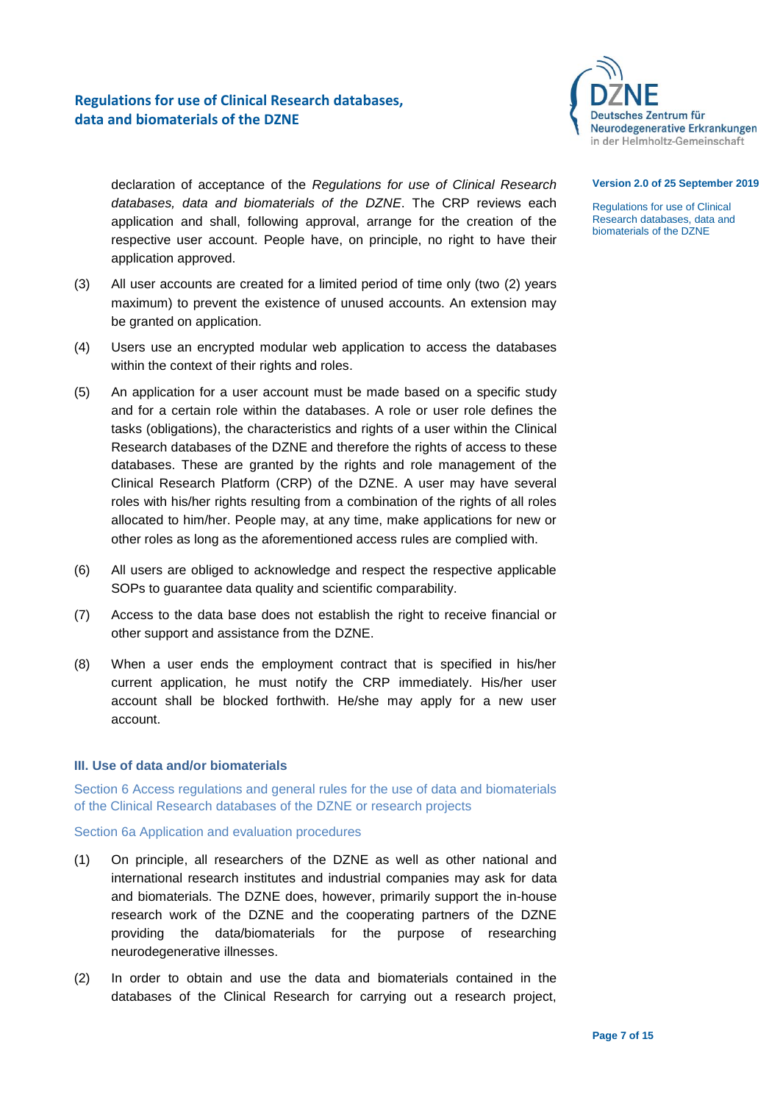

#### **Version 2.0 of 25 September 2019**

Regulations for use of Clinical Research databases, data and biomaterials of the DZNE

declaration of acceptance of the *Regulations for use of Clinical Research databases, data and biomaterials of the DZNE*. The CRP reviews each application and shall, following approval, arrange for the creation of the respective user account. People have, on principle, no right to have their application approved.

- (3) All user accounts are created for a limited period of time only (two (2) years maximum) to prevent the existence of unused accounts. An extension may be granted on application.
- (4) Users use an encrypted modular web application to access the databases within the context of their rights and roles.
- (5) An application for a user account must be made based on a specific study and for a certain role within the databases. A role or user role defines the tasks (obligations), the characteristics and rights of a user within the Clinical Research databases of the DZNE and therefore the rights of access to these databases. These are granted by the rights and role management of the Clinical Research Platform (CRP) of the DZNE. A user may have several roles with his/her rights resulting from a combination of the rights of all roles allocated to him/her. People may, at any time, make applications for new or other roles as long as the aforementioned access rules are complied with.
- (6) All users are obliged to acknowledge and respect the respective applicable SOPs to guarantee data quality and scientific comparability.
- (7) Access to the data base does not establish the right to receive financial or other support and assistance from the DZNE.
- (8) When a user ends the employment contract that is specified in his/her current application, he must notify the CRP immediately. His/her user account shall be blocked forthwith. He/she may apply for a new user account.

## <span id="page-6-0"></span>**III. Use of data and/or biomaterials**

<span id="page-6-1"></span>Section 6 Access regulations and general rules for the use of data and biomaterials of the Clinical Research databases of the DZNE or research projects

<span id="page-6-2"></span>Section 6a Application and evaluation procedures

- (1) On principle, all researchers of the DZNE as well as other national and international research institutes and industrial companies may ask for data and biomaterials. The DZNE does, however, primarily support the in-house research work of the DZNE and the cooperating partners of the DZNE providing the data/biomaterials for the purpose of researching neurodegenerative illnesses.
- (2) In order to obtain and use the data and biomaterials contained in the databases of the Clinical Research for carrying out a research project,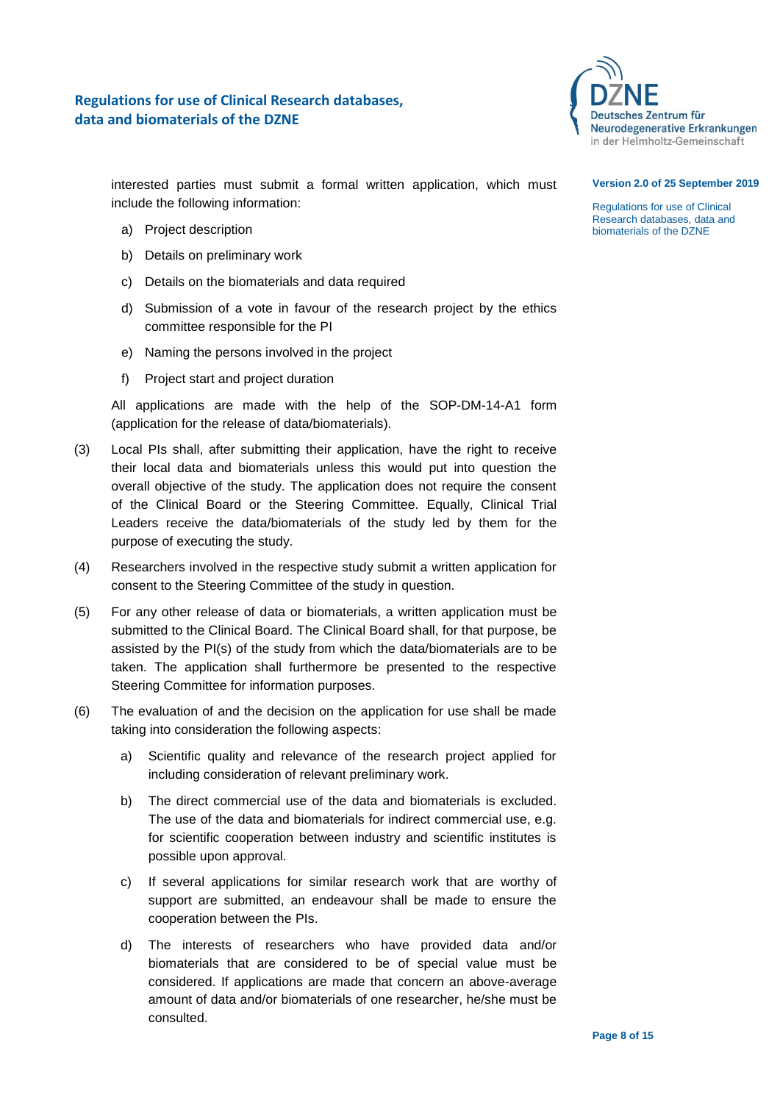

interested parties must submit a formal written application, which must include the following information:

- a) Project description
- b) Details on preliminary work
- c) Details on the biomaterials and data required
- d) Submission of a vote in favour of the research project by the ethics committee responsible for the PI
- e) Naming the persons involved in the project
- f) Project start and project duration

All applications are made with the help of the SOP-DM-14-A1 form (application for the release of data/biomaterials).

- (3) Local PIs shall, after submitting their application, have the right to receive their local data and biomaterials unless this would put into question the overall objective of the study. The application does not require the consent of the Clinical Board or the Steering Committee. Equally, Clinical Trial Leaders receive the data/biomaterials of the study led by them for the purpose of executing the study.
- (4) Researchers involved in the respective study submit a written application for consent to the Steering Committee of the study in question.
- (5) For any other release of data or biomaterials, a written application must be submitted to the Clinical Board. The Clinical Board shall, for that purpose, be assisted by the PI(s) of the study from which the data/biomaterials are to be taken. The application shall furthermore be presented to the respective Steering Committee for information purposes.
- (6) The evaluation of and the decision on the application for use shall be made taking into consideration the following aspects:
	- a) Scientific quality and relevance of the research project applied for including consideration of relevant preliminary work.
	- b) The direct commercial use of the data and biomaterials is excluded. The use of the data and biomaterials for indirect commercial use, e.g. for scientific cooperation between industry and scientific institutes is possible upon approval.
	- c) If several applications for similar research work that are worthy of support are submitted, an endeavour shall be made to ensure the cooperation between the PIs.
	- d) The interests of researchers who have provided data and/or biomaterials that are considered to be of special value must be considered. If applications are made that concern an above-average amount of data and/or biomaterials of one researcher, he/she must be consulted.

#### **Version 2.0 of 25 September 2019**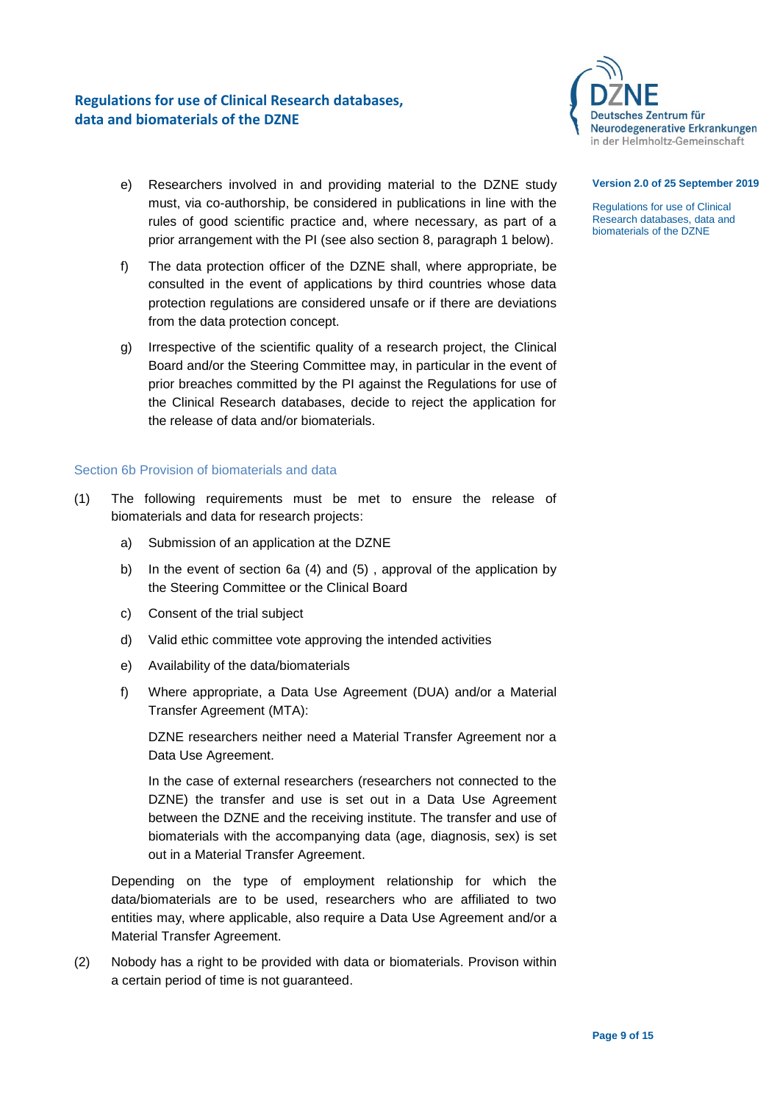

- e) Researchers involved in and providing material to the DZNE study must, via co-authorship, be considered in publications in line with the rules of good scientific practice and, where necessary, as part of a prior arrangement with the PI (see also section 8, paragraph 1 below).
- f) The data protection officer of the DZNE shall, where appropriate, be consulted in the event of applications by third countries whose data protection regulations are considered unsafe or if there are deviations from the data protection concept.
- g) Irrespective of the scientific quality of a research project, the Clinical Board and/or the Steering Committee may, in particular in the event of prior breaches committed by the PI against the Regulations for use of the Clinical Research databases, decide to reject the application for the release of data and/or biomaterials.

## <span id="page-8-0"></span>Section 6b Provision of biomaterials and data

- (1) The following requirements must be met to ensure the release of biomaterials and data for research projects:
	- a) Submission of an application at the DZNE
	- b) In the event of section 6a (4) and (5) , approval of the application by the Steering Committee or the Clinical Board
	- c) Consent of the trial subject
	- d) Valid ethic committee vote approving the intended activities
	- e) Availability of the data/biomaterials
	- f) Where appropriate, a Data Use Agreement (DUA) and/or a Material Transfer Agreement (MTA):

DZNE researchers neither need a Material Transfer Agreement nor a Data Use Agreement.

In the case of external researchers (researchers not connected to the DZNE) the transfer and use is set out in a Data Use Agreement between the DZNE and the receiving institute. The transfer and use of biomaterials with the accompanying data (age, diagnosis, sex) is set out in a Material Transfer Agreement.

Depending on the type of employment relationship for which the data/biomaterials are to be used, researchers who are affiliated to two entities may, where applicable, also require a Data Use Agreement and/or a Material Transfer Agreement.

(2) Nobody has a right to be provided with data or biomaterials. Provison within a certain period of time is not guaranteed.

### **Version 2.0 of 25 September 2019**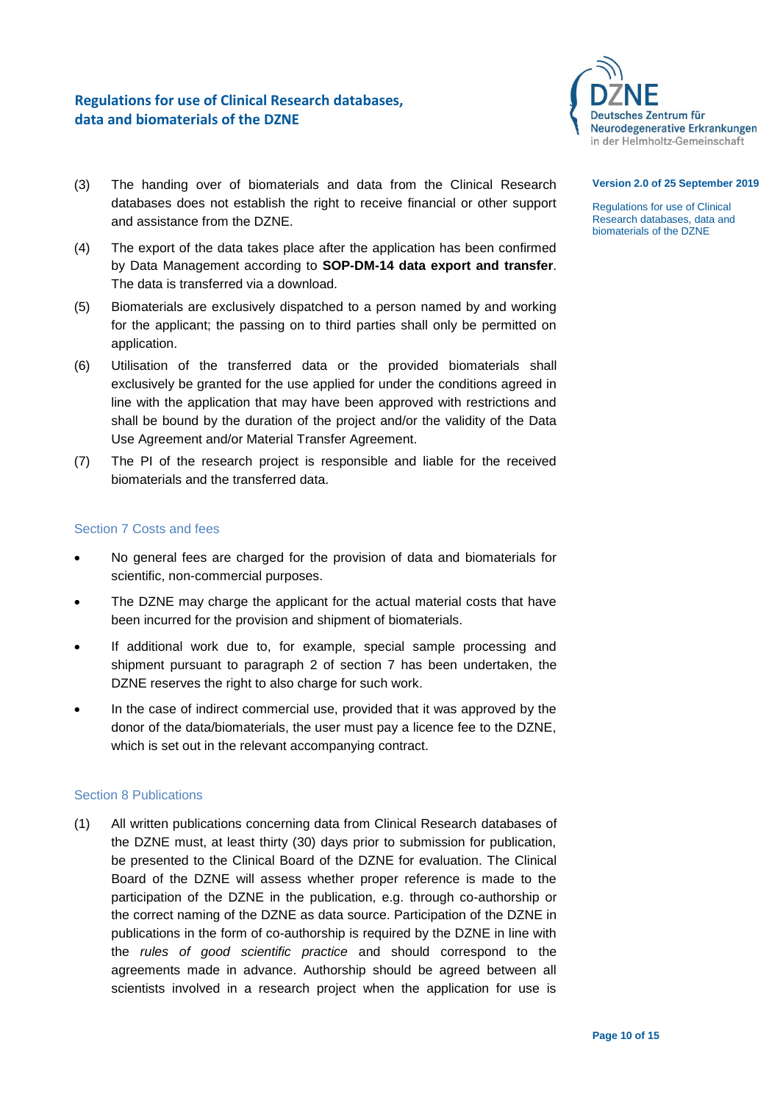

## **Version 2.0 of 25 September 2019**

Regulations for use of Clinical Research databases, data and biomaterials of the DZNE

- (3) The handing over of biomaterials and data from the Clinical Research databases does not establish the right to receive financial or other support and assistance from the DZNE.
- (4) The export of the data takes place after the application has been confirmed by Data Management according to **SOP-DM-14 data export and transfer**. The data is transferred via a download.
- (5) Biomaterials are exclusively dispatched to a person named by and working for the applicant; the passing on to third parties shall only be permitted on application.
- (6) Utilisation of the transferred data or the provided biomaterials shall exclusively be granted for the use applied for under the conditions agreed in line with the application that may have been approved with restrictions and shall be bound by the duration of the project and/or the validity of the Data Use Agreement and/or Material Transfer Agreement.
- (7) The PI of the research project is responsible and liable for the received biomaterials and the transferred data.

## <span id="page-9-0"></span>Section 7 Costs and fees

- No general fees are charged for the provision of data and biomaterials for scientific, non-commercial purposes.
- The DZNE may charge the applicant for the actual material costs that have been incurred for the provision and shipment of biomaterials.
- If additional work due to, for example, special sample processing and shipment pursuant to paragraph 2 of section 7 has been undertaken, the DZNE reserves the right to also charge for such work.
- In the case of indirect commercial use, provided that it was approved by the donor of the data/biomaterials, the user must pay a licence fee to the DZNE, which is set out in the relevant accompanying contract.

## <span id="page-9-1"></span>Section 8 Publications

(1) All written publications concerning data from Clinical Research databases of the DZNE must, at least thirty (30) days prior to submission for publication, be presented to the Clinical Board of the DZNE for evaluation. The Clinical Board of the DZNE will assess whether proper reference is made to the participation of the DZNE in the publication, e.g. through co-authorship or the correct naming of the DZNE as data source. Participation of the DZNE in publications in the form of co-authorship is required by the DZNE in line with the *rules of good scientific practice* and should correspond to the agreements made in advance. Authorship should be agreed between all scientists involved in a research project when the application for use is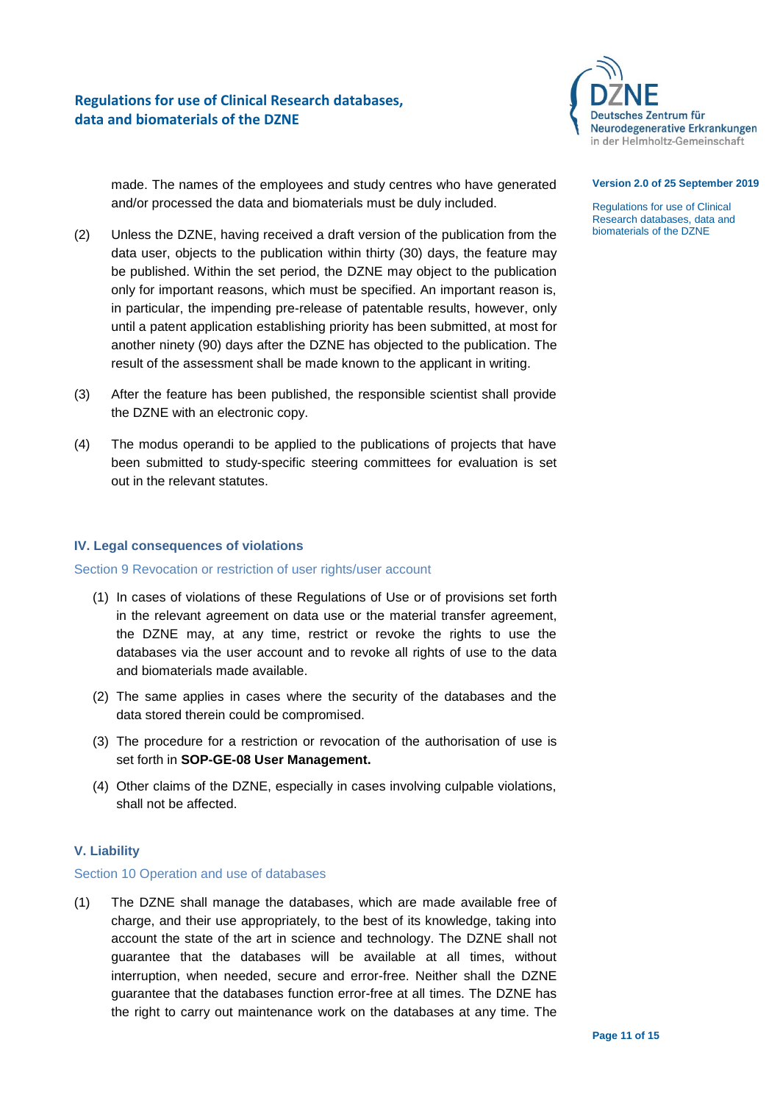

made. The names of the employees and study centres who have generated and/or processed the data and biomaterials must be duly included.

- (2) Unless the DZNE, having received a draft version of the publication from the data user, objects to the publication within thirty (30) days, the feature may be published. Within the set period, the DZNE may object to the publication only for important reasons, which must be specified. An important reason is, in particular, the impending pre-release of patentable results, however, only until a patent application establishing priority has been submitted, at most for another ninety (90) days after the DZNE has objected to the publication. The result of the assessment shall be made known to the applicant in writing.
- (3) After the feature has been published, the responsible scientist shall provide the DZNE with an electronic copy.
- (4) The modus operandi to be applied to the publications of projects that have been submitted to study-specific steering committees for evaluation is set out in the relevant statutes.

## <span id="page-10-0"></span>**IV. Legal consequences of violations**

## <span id="page-10-1"></span>Section 9 Revocation or restriction of user rights/user account

- (1) In cases of violations of these Regulations of Use or of provisions set forth in the relevant agreement on data use or the material transfer agreement, the DZNE may, at any time, restrict or revoke the rights to use the databases via the user account and to revoke all rights of use to the data and biomaterials made available.
- (2) The same applies in cases where the security of the databases and the data stored therein could be compromised.
- (3) The procedure for a restriction or revocation of the authorisation of use is set forth in **SOP-GE-08 User Management.**
- (4) Other claims of the DZNE, especially in cases involving culpable violations, shall not be affected.

## <span id="page-10-2"></span>**V. Liability**

## <span id="page-10-3"></span>Section 10 Operation and use of databases

(1) The DZNE shall manage the databases, which are made available free of charge, and their use appropriately, to the best of its knowledge, taking into account the state of the art in science and technology. The DZNE shall not guarantee that the databases will be available at all times, without interruption, when needed, secure and error-free. Neither shall the DZNE guarantee that the databases function error-free at all times. The DZNE has the right to carry out maintenance work on the databases at any time. The

#### **Version 2.0 of 25 September 2019**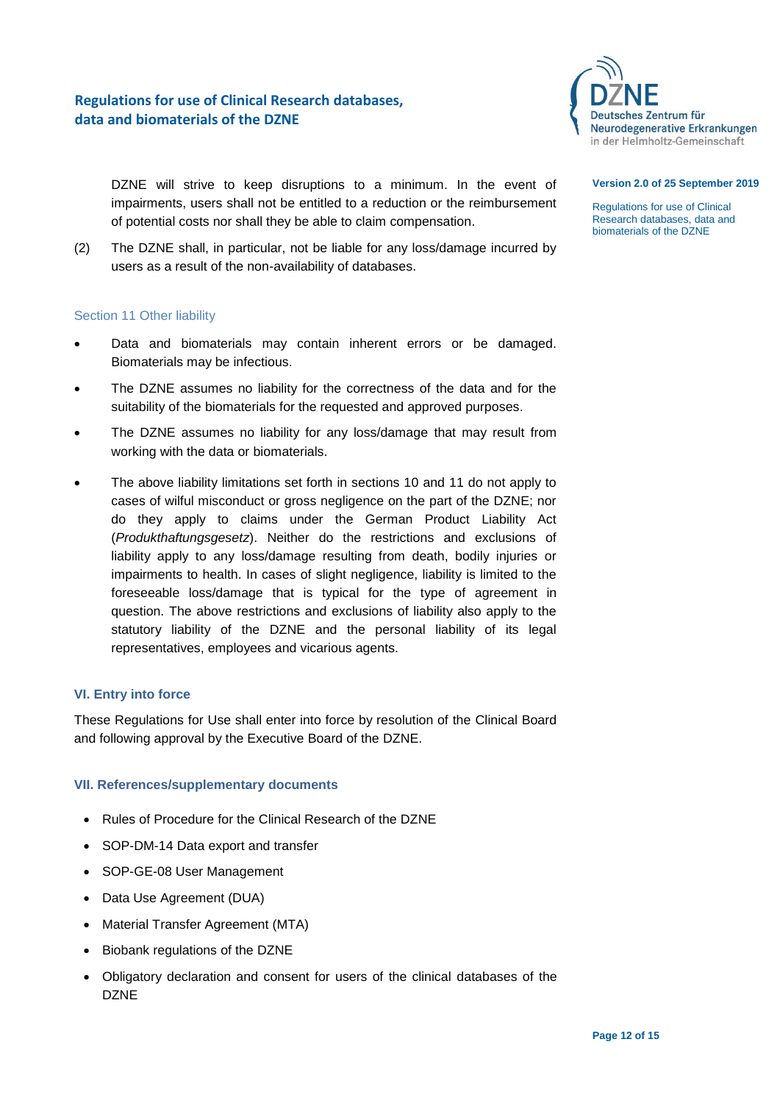

#### **Version 2.0 of 25 September 2019**

Regulations for use of Clinical Research databases, data and biomaterials of the DZNE

DZNE will strive to keep disruptions to a minimum. In the event of impairments, users shall not be entitled to a reduction or the reimbursement of potential costs nor shall they be able to claim compensation.

(2) The DZNE shall, in particular, not be liable for any loss/damage incurred by users as a result of the non-availability of databases.

## <span id="page-11-0"></span>Section 11 Other liability

- Data and biomaterials may contain inherent errors or be damaged. Biomaterials may be infectious.
- The DZNE assumes no liability for the correctness of the data and for the suitability of the biomaterials for the requested and approved purposes.
- The DZNE assumes no liability for any loss/damage that may result from working with the data or biomaterials.
- The above liability limitations set forth in sections 10 and 11 do not apply to cases of wilful misconduct or gross negligence on the part of the DZNE; nor do they apply to claims under the German Product Liability Act (*Produkthaftungsgesetz*). Neither do the restrictions and exclusions of liability apply to any loss/damage resulting from death, bodily injuries or impairments to health. In cases of slight negligence, liability is limited to the foreseeable loss/damage that is typical for the type of agreement in question. The above restrictions and exclusions of liability also apply to the statutory liability of the DZNE and the personal liability of its legal representatives, employees and vicarious agents.

## <span id="page-11-1"></span>**VI. Entry into force**

These Regulations for Use shall enter into force by resolution of the Clinical Board and following approval by the Executive Board of the DZNE.

## <span id="page-11-2"></span>**VII. References/supplementary documents**

- Rules of Procedure for the Clinical Research of the DZNE
- SOP-DM-14 Data export and transfer
- SOP-GE-08 User Management
- Data Use Agreement (DUA)
- Material Transfer Agreement (MTA)
- Biobank regulations of the DZNE
- Obligatory declaration and consent for users of the clinical databases of the DZNE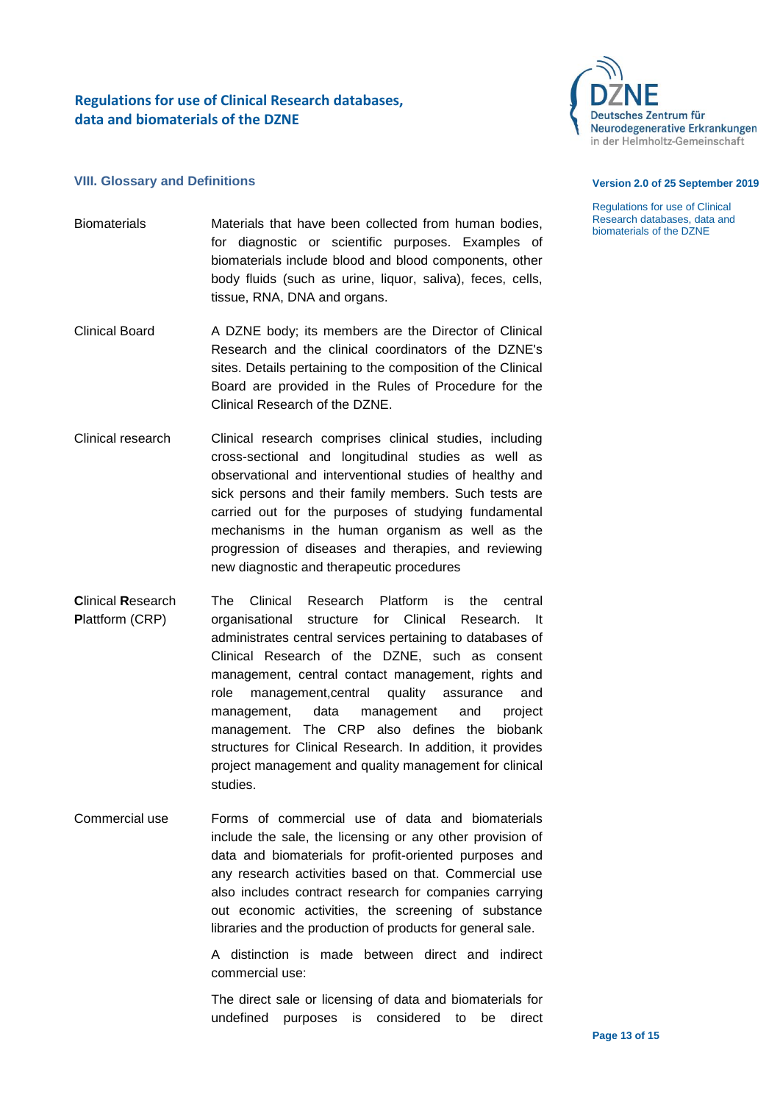

## <span id="page-12-0"></span>**VIII. Glossary and Definitions**

- Biomaterials Materials that have been collected from human bodies, for diagnostic or scientific purposes. Examples of biomaterials include blood and blood components, other body fluids (such as urine, liquor, saliva), feces, cells, tissue, RNA, DNA and organs.
- Clinical Board A DZNE body; its members are the Director of Clinical Research and the clinical coordinators of the DZNE's sites. Details pertaining to the composition of the Clinical Board are provided in the Rules of Procedure for the Clinical Research of the DZNE.
- Clinical research Clinical research comprises clinical studies, including cross-sectional and longitudinal studies as well as observational and interventional studies of healthy and sick persons and their family members. Such tests are carried out for the purposes of studying fundamental mechanisms in the human organism as well as the progression of diseases and therapies, and reviewing new diagnostic and therapeutic procedures
- **C**linical **R**esearch **P**lattform (CRP) The Clinical Research Platform is the central organisational structure for Clinical Research. It administrates central services pertaining to databases of Clinical Research of the DZNE, such as consent management, central contact management, rights and role management,central quality assurance and management, data management and project management. The CRP also defines the biobank structures for Clinical Research. In addition, it provides project management and quality management for clinical studies.
- Commercial use Forms of commercial use of data and biomaterials include the sale, the licensing or any other provision of data and biomaterials for profit-oriented purposes and any research activities based on that. Commercial use also includes contract research for companies carrying out economic activities, the screening of substance libraries and the production of products for general sale.

A distinction is made between direct and indirect commercial use:

The direct sale or licensing of data and biomaterials for undefined purposes is considered to be direct

#### **Version 2.0 of 25 September 2019**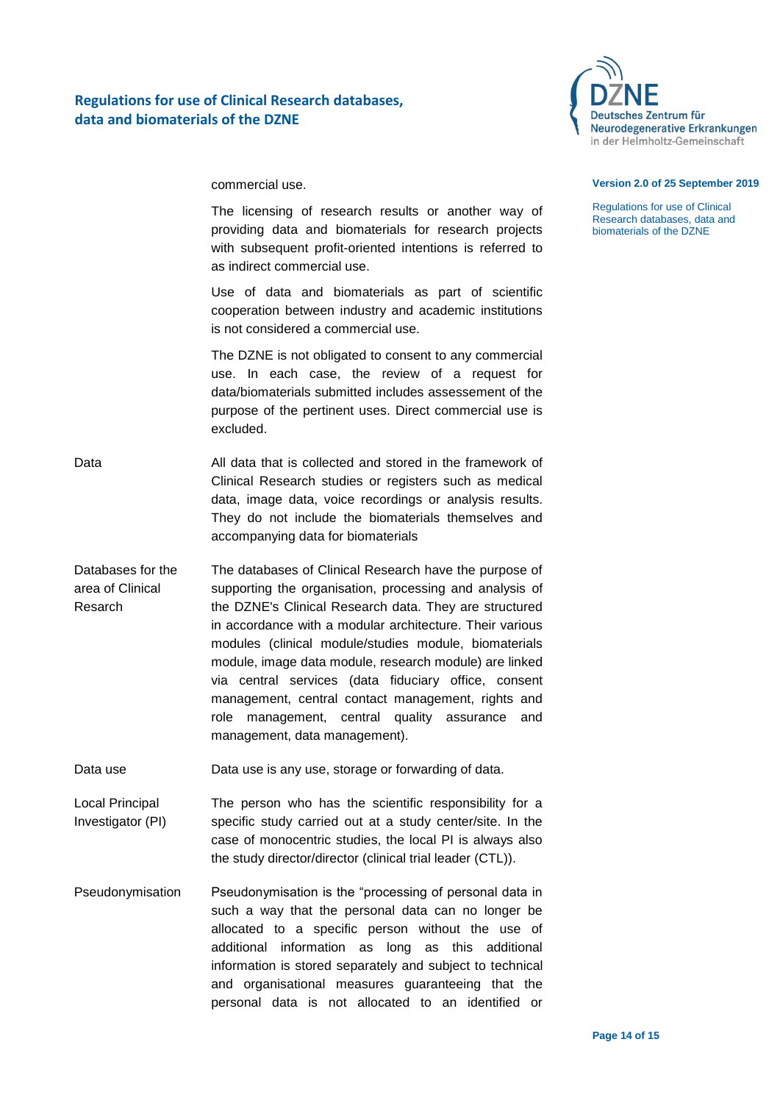

commercial use.

The licensing of research results or another way of providing data and biomaterials for research projects with subsequent profit-oriented intentions is referred to as indirect commercial use.

Use of data and biomaterials as part of scientific cooperation between industry and academic institutions is not considered a commercial use.

The DZNE is not obligated to consent to any commercial use. In each case, the review of a request for data/biomaterials submitted includes assessement of the purpose of the pertinent uses. Direct commercial use is excluded.

- Data **All data that is collected and stored in the framework of** Clinical Research studies or registers such as medical data, image data, voice recordings or analysis results. They do not include the biomaterials themselves and accompanying data for biomaterials
- Databases for the area of Clinical Resarch The databases of Clinical Research have the purpose of supporting the organisation, processing and analysis of the DZNE's Clinical Research data. They are structured in accordance with a modular architecture. Their various modules (clinical module/studies module, biomaterials module, image data module, research module) are linked via central services (data fiduciary office, consent management, central contact management, rights and role management, central quality assurance and management, data management).

Data use Data use is any use, storage or forwarding of data.

- Local Principal Investigator (PI) The person who has the scientific responsibility for a specific study carried out at a study center/site. In the case of monocentric studies, the local PI is always also the study director/director (clinical trial leader (CTL)).
- Pseudonymisation Pseudonymisation is the "processing of personal data in such a way that the personal data can no longer be allocated to a specific person without the use of additional information as long as this additional information is stored separately and subject to technical and organisational measures guaranteeing that the personal data is not allocated to an identified or

### **Version 2.0 of 25 September 2019**